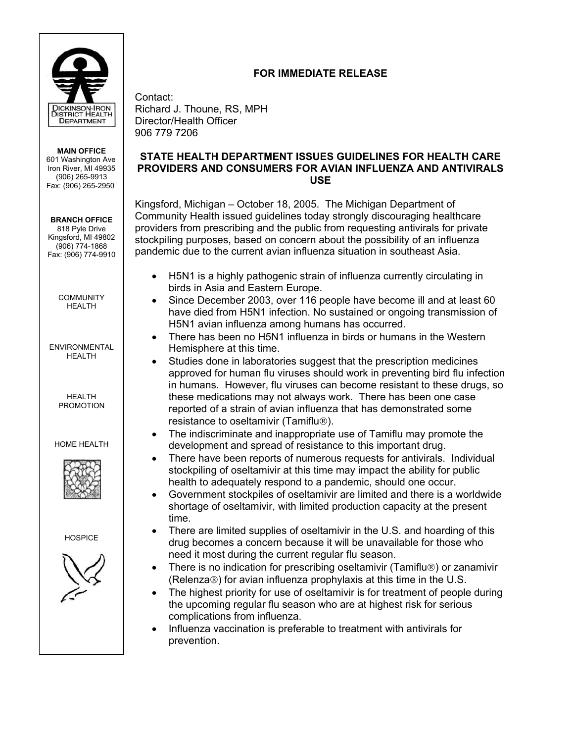

**MAIN OFFICE**  601 Washington Ave Iron River, MI 49935 (906) 265-9913 Fax: (906) 265-2950

**BRANCH OFFICE**  818 Pyle Drive Kingsford, MI 49802 (906) 774-1868 Fax: (906) 774-9910

> **COMMUNITY** HEALTH

ENVIRONMENTAL HFAI TH

> HEALTH PROMOTION

HOME HEALTH



**HOSPICE** 



## **FOR IMMEDIATE RELEASE**

Contact: Richard J. Thoune, RS, MPH Director/Health Officer 906 779 7206

## **STATE HEALTH DEPARTMENT ISSUES GUIDELINES FOR HEALTH CARE PROVIDERS AND CONSUMERS FOR AVIAN INFLUENZA AND ANTIVIRALS USE**

Kingsford, Michigan – October 18, 2005. The Michigan Department of Community Health issued guidelines today strongly discouraging healthcare providers from prescribing and the public from requesting antivirals for private stockpiling purposes, based on concern about the possibility of an influenza pandemic due to the current avian influenza situation in southeast Asia.

- H5N1 is a highly pathogenic strain of influenza currently circulating in birds in Asia and Eastern Europe.
- Since December 2003, over 116 people have become ill and at least 60 have died from H5N1 infection. No sustained or ongoing transmission of H5N1 avian influenza among humans has occurred.
- There has been no H5N1 influenza in birds or humans in the Western Hemisphere at this time.
- Studies done in laboratories suggest that the prescription medicines approved for human flu viruses should work in preventing bird flu infection in humans. However, flu viruses can become resistant to these drugs, so these medications may not always work. There has been one case reported of a strain of avian influenza that has demonstrated some resistance to oseltamivir (Tamiflu<sup>®</sup>).
- The indiscriminate and inappropriate use of Tamiflu may promote the development and spread of resistance to this important drug.
- There have been reports of numerous requests for antivirals. Individual stockpiling of oseltamivir at this time may impact the ability for public health to adequately respond to a pandemic, should one occur.
- Government stockpiles of oseltamivir are limited and there is a worldwide shortage of oseltamivir, with limited production capacity at the present time.
- There are limited supplies of oseltamivir in the U.S. and hoarding of this drug becomes a concern because it will be unavailable for those who need it most during the current regular flu season.
- There is no indication for prescribing oseltamivir (Tamiflu®) or zanamivir (Relenza $\circledR$ ) for avian influenza prophylaxis at this time in the U.S.
- The highest priority for use of oseltamivir is for treatment of people during the upcoming regular flu season who are at highest risk for serious complications from influenza.
- Influenza vaccination is preferable to treatment with antivirals for prevention.